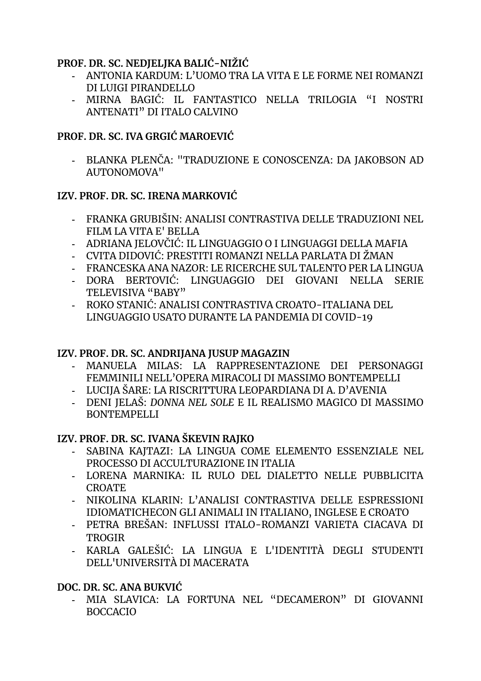#### **PROF. DR. SC. NEDJELJKA BALIĆ-NIŽIĆ**

- **-** ANTONIA KARDUM: L'UOMO TRA LA VITA E LE FORME NEI ROMANZI DI LUIGI PIRANDELLO
- **-** MIRNA BAGIĆ: IL FANTASTICO NELLA TRILOGIA "I NOSTRI ANTENATI" DI ITALO CALVINO

# **PROF. DR. SC. IVA GRGIĆ MAROEVIĆ**

**-** BLANKA PLENČA: "TRADUZIONE E CONOSCENZA: DA JAKOBSON AD AUTONOMOVA"

## **IZV. PROF. DR. SC. IRENA MARKOVIĆ**

- **-** FRANKA GRUBIŠIN: ANALISI CONTRASTIVA DELLE TRADUZIONI NEL FILM LA VITA E' BELLA
- **-** ADRIANA JELOVČIĆ: IL LINGUAGGIO O I LINGUAGGI DELLA MAFIA
- **-** CVITA DIDOVIĆ: PRESTITI ROMANZI NELLA PARLATA DI ŽMAN
- **-** FRANCESKA ANA NAZOR: LE RICERCHE SUL TALENTO PER LA LINGUA
- **-** DORA BERTOVIĆ: LINGUAGGIO DEI GIOVANI NELLA SERIE TELEVISIVA "BABY"
- **-** ROKO STANIĆ: ANALISI CONTRASTIVA CROATO-ITALIANA DEL LINGUAGGIO USATO DURANTE LA PANDEMIA DI COVID-19

## **IZV. PROF. DR. SC. ANDRIJANA JUSUP MAGAZIN**

- **-** MANUELA MILAS: LA RAPPRESENTAZIONE DEI PERSONAGGI FEMMINILI NELL'OPERA MIRACOLI DI MASSIMO BONTEMPELLI
- **-** LUCIJA ŠARE: LA RISCRITTURA LEOPARDIANA DI A. D'AVENIA
- **-** DENI JELAŠ: *DONNA NEL SOLE* E IL REALISMO MAGICO DI MASSIMO **BONTEMPELLI**

## **IZV. PROF. DR. SC. IVANA ŠKEVIN RAJKO**

- **-** SABINA KAJTAZI: LA LINGUA COME ELEMENTO ESSENZIALE NEL PROCESSO DI ACCULTURAZIONE IN ITALIA
- **-** LORENA MARNIKA: IL RULO DEL DIALETTO NELLE PUBBLICITA CROATE
- **-** NIKOLINA KLARIN: L'ANALISI CONTRASTIVA DELLE ESPRESSIONI IDIOMATICHECON GLI ANIMALI IN ITALIANO, INGLESE E CROATO
- **-** PETRA BREŠAN: INFLUSSI ITALO-ROMANZI VARIETA CIACAVA DI **TROGIR**
- **-** KARLA GALEŠIĆ: LA LINGUA E L'IDENTITÀ DEGLI STUDENTI DELL'UNIVERSITÀ DI MACERATA

## **DOC. DR. SC. ANA BUKVIĆ**

**-** MIA SLAVICA: LA FORTUNA NEL "DECAMERON" DI GIOVANNI BOCCACIO